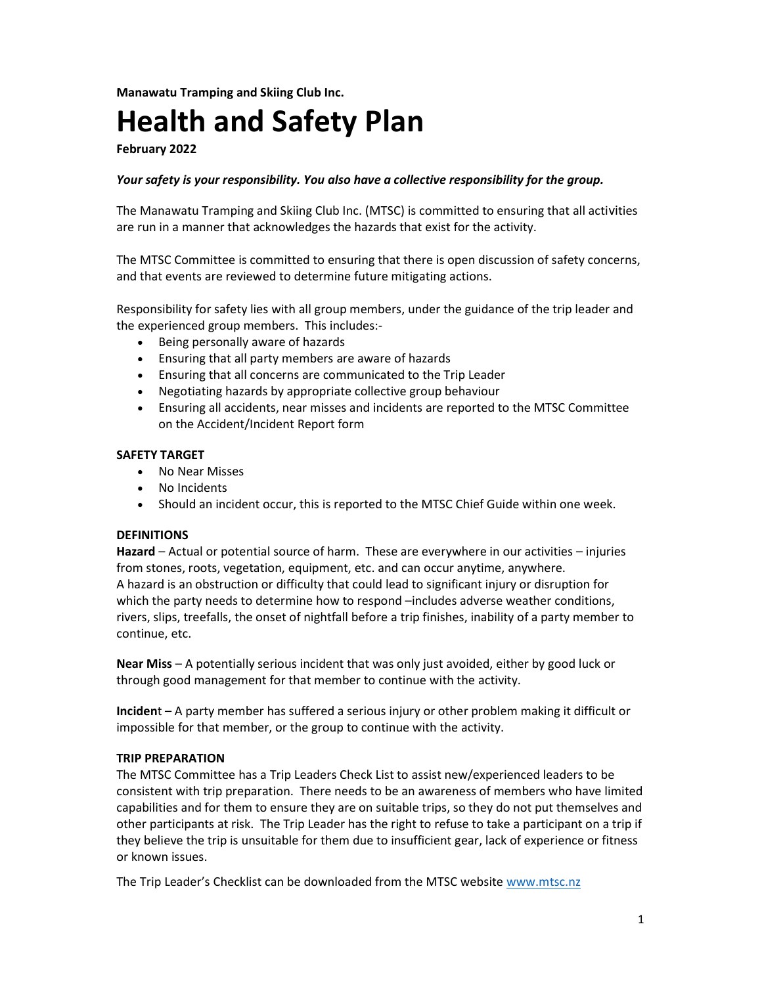Manawatu Tramping and Skiing Club Inc.

# Health and Safety Plan

February 2022

### Your safety is your responsibility. You also have a collective responsibility for the group.

The Manawatu Tramping and Skiing Club Inc. (MTSC) is committed to ensuring that all activities are run in a manner that acknowledges the hazards that exist for the activity.

The MTSC Committee is committed to ensuring that there is open discussion of safety concerns, and that events are reviewed to determine future mitigating actions.

Responsibility for safety lies with all group members, under the guidance of the trip leader and the experienced group members. This includes:-

- Being personally aware of hazards
- Ensuring that all party members are aware of hazards
- Ensuring that all concerns are communicated to the Trip Leader
- Negotiating hazards by appropriate collective group behaviour
- Ensuring all accidents, near misses and incidents are reported to the MTSC Committee on the Accident/Incident Report form

#### SAFETY TARGET

- No Near Misses
- No Incidents
- Should an incident occur, this is reported to the MTSC Chief Guide within one week.

#### **DEFINITIONS**

Hazard – Actual or potential source of harm. These are everywhere in our activities – injuries from stones, roots, vegetation, equipment, etc. and can occur anytime, anywhere. A hazard is an obstruction or difficulty that could lead to significant injury or disruption for which the party needs to determine how to respond –includes adverse weather conditions, rivers, slips, treefalls, the onset of nightfall before a trip finishes, inability of a party member to continue, etc.

Near Miss – A potentially serious incident that was only just avoided, either by good luck or through good management for that member to continue with the activity.

Incident – A party member has suffered a serious injury or other problem making it difficult or impossible for that member, or the group to continue with the activity.

#### TRIP PREPARATION

The MTSC Committee has a Trip Leaders Check List to assist new/experienced leaders to be consistent with trip preparation. There needs to be an awareness of members who have limited capabilities and for them to ensure they are on suitable trips, so they do not put themselves and other participants at risk. The Trip Leader has the right to refuse to take a participant on a trip if they believe the trip is unsuitable for them due to insufficient gear, lack of experience or fitness or known issues.

The Trip Leader's Checklist can be downloaded from the MTSC website www.mtsc.nz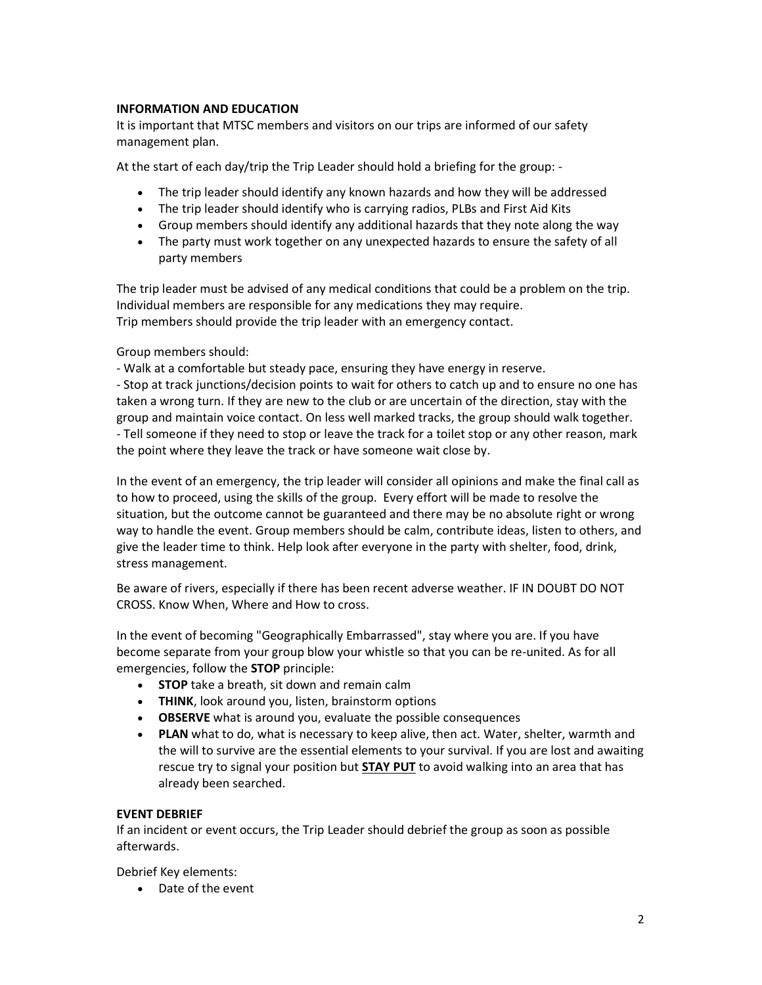## INFORMATION AND EDUCATION

It is important that MTSC members and visitors on our trips are informed of our safety management plan.

At the start of each day/trip the Trip Leader should hold a briefing for the group: -

- The trip leader should identify any known hazards and how they will be addressed
- The trip leader should identify who is carrying radios, PLBs and First Aid Kits
- Group members should identify any additional hazards that they note along the way
- The party must work together on any unexpected hazards to ensure the safety of all party members

The trip leader must be advised of any medical conditions that could be a problem on the trip. Individual members are responsible for any medications they may require. Trip members should provide the trip leader with an emergency contact.

Group members should:

- Walk at a comfortable but steady pace, ensuring they have energy in reserve.

- Stop at track junctions/decision points to wait for others to catch up and to ensure no one has taken a wrong turn. If they are new to the club or are uncertain of the direction, stay with the group and maintain voice contact. On less well marked tracks, the group should walk together. - Tell someone if they need to stop or leave the track for a toilet stop or any other reason, mark the point where they leave the track or have someone wait close by.

In the event of an emergency, the trip leader will consider all opinions and make the final call as to how to proceed, using the skills of the group. Every effort will be made to resolve the situation, but the outcome cannot be guaranteed and there may be no absolute right or wrong way to handle the event. Group members should be calm, contribute ideas, listen to others, and give the leader time to think. Help look after everyone in the party with shelter, food, drink, stress management.

Be aware of rivers, especially if there has been recent adverse weather. IF IN DOUBT DO NOT CROSS. Know When, Where and How to cross.

In the event of becoming "Geographically Embarrassed", stay where you are. If you have become separate from your group blow your whistle so that you can be re-united. As for all emergencies, follow the STOP principle:

- STOP take a breath, sit down and remain calm
- THINK, look around you, listen, brainstorm options
- OBSERVE what is around you, evaluate the possible consequences
- PLAN what to do, what is necessary to keep alive, then act. Water, shelter, warmth and the will to survive are the essential elements to your survival. If you are lost and awaiting rescue try to signal your position but **STAY PUT** to avoid walking into an area that has already been searched.

## EVENT DEBRIEF

If an incident or event occurs, the Trip Leader should debrief the group as soon as possible afterwards.

Debrief Key elements:

Date of the event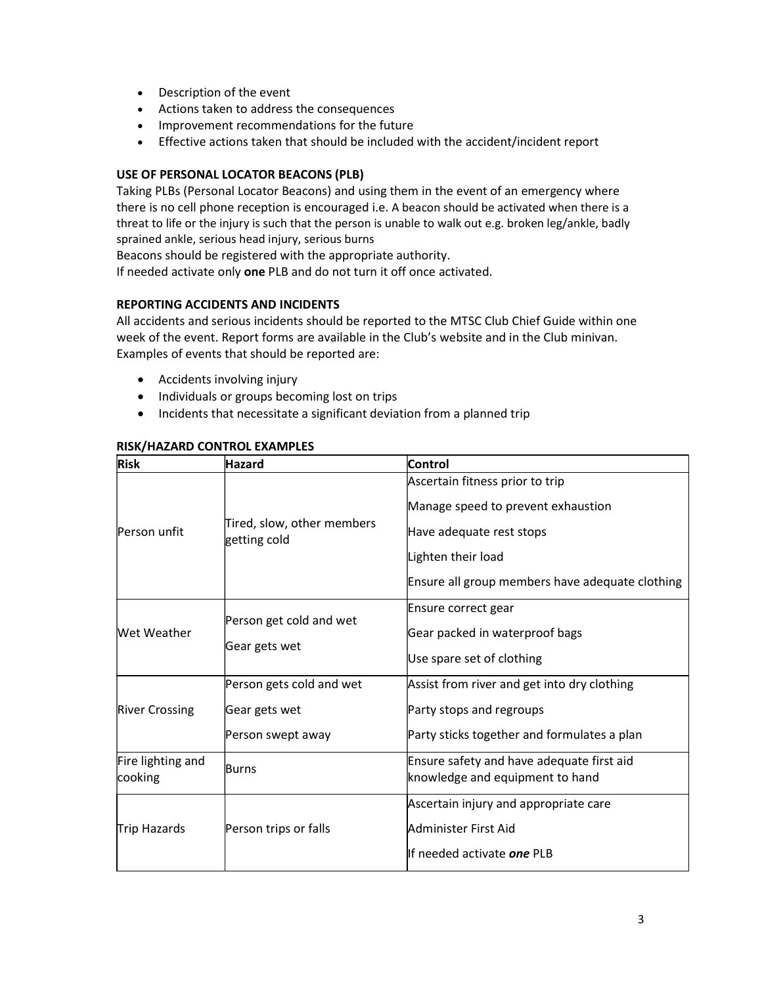- Description of the event
- Actions taken to address the consequences
- Improvement recommendations for the future
- Effective actions taken that should be included with the accident/incident report

#### USE OF PERSONAL LOCATOR BEACONS (PLB)

Taking PLBs (Personal Locator Beacons) and using them in the event of an emergency where there is no cell phone reception is encouraged i.e. A beacon should be activated when there is a threat to life or the injury is such that the person is unable to walk out e.g. broken leg/ankle, badly sprained ankle, serious head injury, serious burns

Beacons should be registered with the appropriate authority.

If needed activate only one PLB and do not turn it off once activated.

## REPORTING ACCIDENTS AND INCIDENTS

All accidents and serious incidents should be reported to the MTSC Club Chief Guide within one week of the event. Report forms are available in the Club's website and in the Club minivan. Examples of events that should be reported are:

- Accidents involving injury
- Individuals or groups becoming lost on trips
- Incidents that necessitate a significant deviation from a planned trip

| <b>Risk</b>                  | Hazard                                     | <b>Control</b>                                                        |
|------------------------------|--------------------------------------------|-----------------------------------------------------------------------|
| Person unfit                 | Tired, slow, other members<br>getting cold | Ascertain fitness prior to trip<br>Manage speed to prevent exhaustion |
|                              |                                            | Have adequate rest stops                                              |
|                              |                                            | Lighten their load                                                    |
|                              |                                            | Ensure all group members have adequate clothing                       |
| Wet Weather                  | Person get cold and wet<br>Gear gets wet   | Ensure correct gear                                                   |
|                              |                                            | Gear packed in waterproof bags                                        |
|                              |                                            | Use spare set of clothing                                             |
| <b>River Crossing</b>        | Person gets cold and wet                   | Assist from river and get into dry clothing                           |
|                              | Gear gets wet                              | Party stops and regroups                                              |
|                              | Person swept away                          | Party sticks together and formulates a plan                           |
| Fire lighting and<br>cooking | Burns                                      | Ensure safety and have adequate first aid                             |
|                              |                                            | knowledge and equipment to hand                                       |
| Trip Hazards                 | Person trips or falls                      | Ascertain injury and appropriate care                                 |
|                              |                                            | Administer First Aid                                                  |
|                              |                                            | llf needed activate <i>one</i> PLB                                    |

#### RISK/HAZARD CONTROL EXAMPLES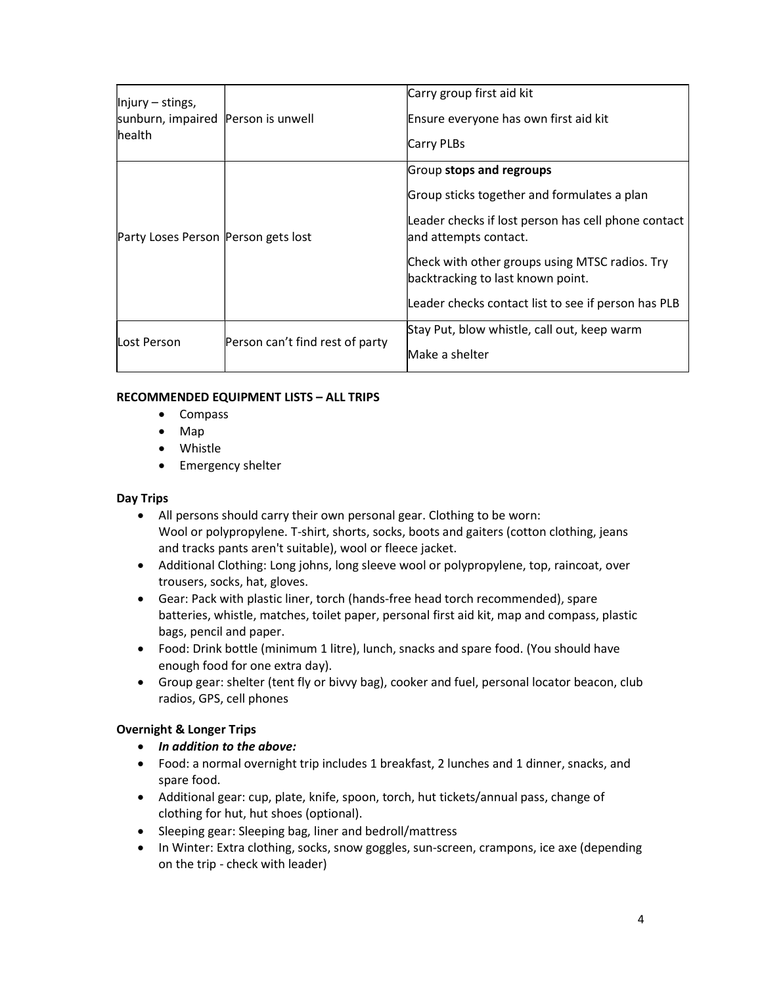| $\parallel$ njury – stings,<br>sunburn, impaired Person is unwell<br>lhealth |                                 | Carry group first aid kit<br>Ensure everyone has own first aid kit<br>Carry PLBs                                                                                                                                                                                                                      |
|------------------------------------------------------------------------------|---------------------------------|-------------------------------------------------------------------------------------------------------------------------------------------------------------------------------------------------------------------------------------------------------------------------------------------------------|
| Party Loses Person Person gets lost                                          |                                 | Group stops and regroups<br>Group sticks together and formulates a plan<br>Leader checks if lost person has cell phone contact<br>and attempts contact.<br>Check with other groups using MTSC radios. Try<br>backtracking to last known point.<br>Leader checks contact list to see if person has PLB |
| Lost Person                                                                  | Person can't find rest of party | Stay Put, blow whistle, call out, keep warm<br>Make a shelter                                                                                                                                                                                                                                         |

## RECOMMENDED EQUIPMENT LISTS – ALL TRIPS

- Compass
- Map
- Whistle
- Emergency shelter

## Day Trips

- All persons should carry their own personal gear. Clothing to be worn: Wool or polypropylene. T-shirt, shorts, socks, boots and gaiters (cotton clothing, jeans and tracks pants aren't suitable), wool or fleece jacket.
- Additional Clothing: Long johns, long sleeve wool or polypropylene, top, raincoat, over trousers, socks, hat, gloves.
- Gear: Pack with plastic liner, torch (hands-free head torch recommended), spare batteries, whistle, matches, toilet paper, personal first aid kit, map and compass, plastic bags, pencil and paper.
- Food: Drink bottle (minimum 1 litre), lunch, snacks and spare food. (You should have enough food for one extra day).
- Group gear: shelter (tent fly or bivvy bag), cooker and fuel, personal locator beacon, club radios, GPS, cell phones

# Overnight & Longer Trips

- In addition to the above:
- Food: a normal overnight trip includes 1 breakfast, 2 lunches and 1 dinner, snacks, and spare food.
- Additional gear: cup, plate, knife, spoon, torch, hut tickets/annual pass, change of clothing for hut, hut shoes (optional).
- Sleeping gear: Sleeping bag, liner and bedroll/mattress
- In Winter: Extra clothing, socks, snow goggles, sun-screen, crampons, ice axe (depending on the trip - check with leader)